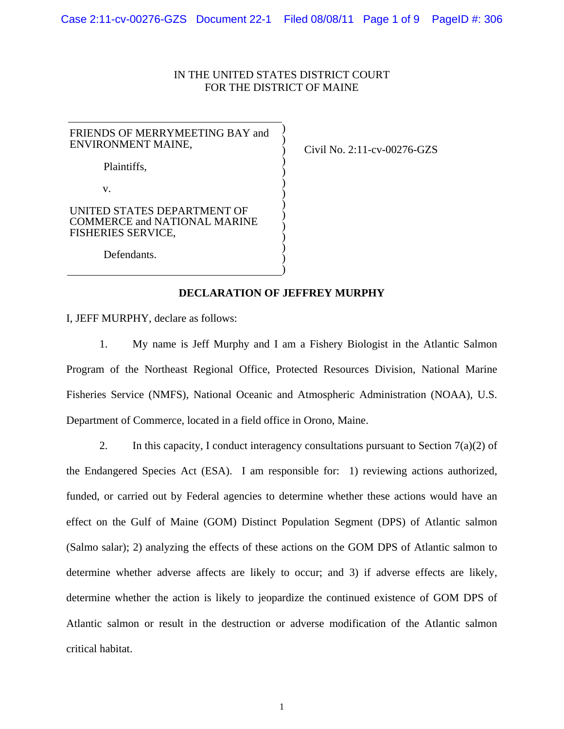## IN THE UNITED STATES DISTRICT COURT FOR THE DISTRICT OF MAINE

| FRIENDS OF MERRYMEETING BAY and<br>ENVIRONMENT MAINE,                                    |  |
|------------------------------------------------------------------------------------------|--|
| Plaintiffs,                                                                              |  |
| V.                                                                                       |  |
| UNITED STATES DEPARTMENT OF<br><b>COMMERCE and NATIONAL MARINE</b><br>FISHERIES SERVICE, |  |
| Defendants.                                                                              |  |

Civil No. 2:11-cv-00276-GZS

## **DECLARATION OF JEFFREY MURPHY**

)

I, JEFF MURPHY, declare as follows:

1. My name is Jeff Murphy and I am a Fishery Biologist in the Atlantic Salmon Program of the Northeast Regional Office, Protected Resources Division, National Marine Fisheries Service (NMFS), National Oceanic and Atmospheric Administration (NOAA), U.S. Department of Commerce, located in a field office in Orono, Maine.

2. In this capacity, I conduct interagency consultations pursuant to Section  $7(a)(2)$  of the Endangered Species Act (ESA). I am responsible for: 1) reviewing actions authorized, funded, or carried out by Federal agencies to determine whether these actions would have an effect on the Gulf of Maine (GOM) Distinct Population Segment (DPS) of Atlantic salmon (Salmo salar); 2) analyzing the effects of these actions on the GOM DPS of Atlantic salmon to determine whether adverse affects are likely to occur; and 3) if adverse effects are likely, determine whether the action is likely to jeopardize the continued existence of GOM DPS of Atlantic salmon or result in the destruction or adverse modification of the Atlantic salmon critical habitat.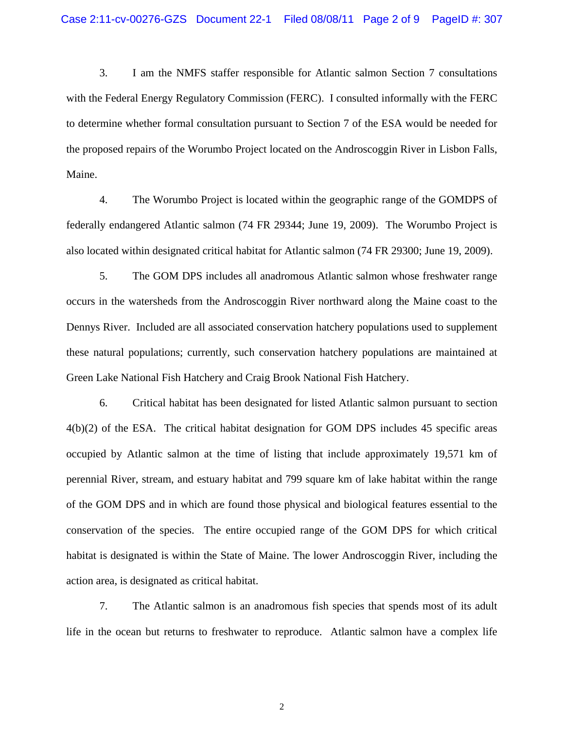3. I am the NMFS staffer responsible for Atlantic salmon Section 7 consultations with the Federal Energy Regulatory Commission (FERC). I consulted informally with the FERC to determine whether formal consultation pursuant to Section 7 of the ESA would be needed for the proposed repairs of the Worumbo Project located on the Androscoggin River in Lisbon Falls, Maine.

4. The Worumbo Project is located within the geographic range of the GOMDPS of federally endangered Atlantic salmon (74 FR 29344; June 19, 2009). The Worumbo Project is also located within designated critical habitat for Atlantic salmon (74 FR 29300; June 19, 2009).

5. The GOM DPS includes all anadromous Atlantic salmon whose freshwater range occurs in the watersheds from the Androscoggin River northward along the Maine coast to the Dennys River. Included are all associated conservation hatchery populations used to supplement these natural populations; currently, such conservation hatchery populations are maintained at Green Lake National Fish Hatchery and Craig Brook National Fish Hatchery.

6. Critical habitat has been designated for listed Atlantic salmon pursuant to section 4(b)(2) of the ESA. The critical habitat designation for GOM DPS includes 45 specific areas occupied by Atlantic salmon at the time of listing that include approximately 19,571 km of perennial River, stream, and estuary habitat and 799 square km of lake habitat within the range of the GOM DPS and in which are found those physical and biological features essential to the conservation of the species. The entire occupied range of the GOM DPS for which critical habitat is designated is within the State of Maine. The lower Androscoggin River, including the action area, is designated as critical habitat.

7. The Atlantic salmon is an anadromous fish species that spends most of its adult life in the ocean but returns to freshwater to reproduce. Atlantic salmon have a complex life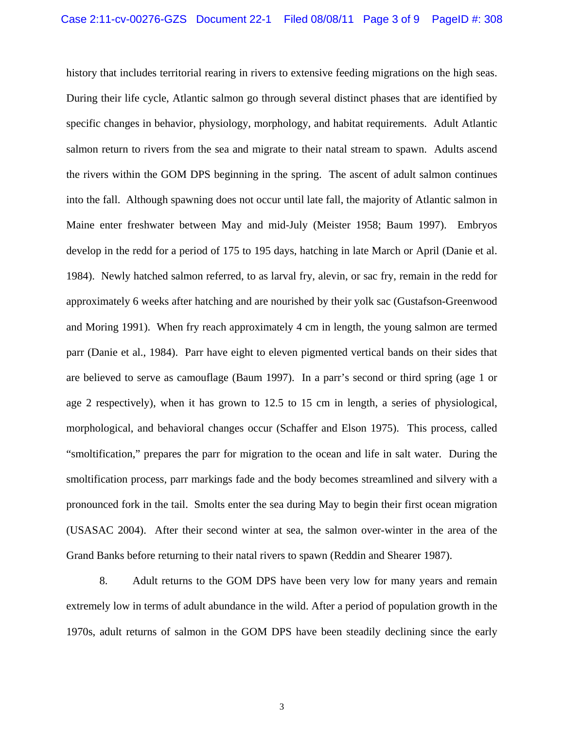history that includes territorial rearing in rivers to extensive feeding migrations on the high seas. During their life cycle, Atlantic salmon go through several distinct phases that are identified by specific changes in behavior, physiology, morphology, and habitat requirements. Adult Atlantic salmon return to rivers from the sea and migrate to their natal stream to spawn. Adults ascend the rivers within the GOM DPS beginning in the spring. The ascent of adult salmon continues into the fall. Although spawning does not occur until late fall, the majority of Atlantic salmon in Maine enter freshwater between May and mid-July (Meister 1958; Baum 1997). Embryos develop in the redd for a period of 175 to 195 days, hatching in late March or April (Danie et al. 1984). Newly hatched salmon referred, to as larval fry, alevin, or sac fry, remain in the redd for approximately 6 weeks after hatching and are nourished by their yolk sac (Gustafson-Greenwood and Moring 1991). When fry reach approximately 4 cm in length, the young salmon are termed parr (Danie et al., 1984). Parr have eight to eleven pigmented vertical bands on their sides that are believed to serve as camouflage (Baum 1997). In a parr's second or third spring (age 1 or age 2 respectively), when it has grown to 12.5 to 15 cm in length, a series of physiological, morphological, and behavioral changes occur (Schaffer and Elson 1975). This process, called "smoltification," prepares the parr for migration to the ocean and life in salt water. During the smoltification process, parr markings fade and the body becomes streamlined and silvery with a pronounced fork in the tail. Smolts enter the sea during May to begin their first ocean migration (USASAC 2004). After their second winter at sea, the salmon over-winter in the area of the Grand Banks before returning to their natal rivers to spawn (Reddin and Shearer 1987).

8. Adult returns to the GOM DPS have been very low for many years and remain extremely low in terms of adult abundance in the wild. After a period of population growth in the 1970s, adult returns of salmon in the GOM DPS have been steadily declining since the early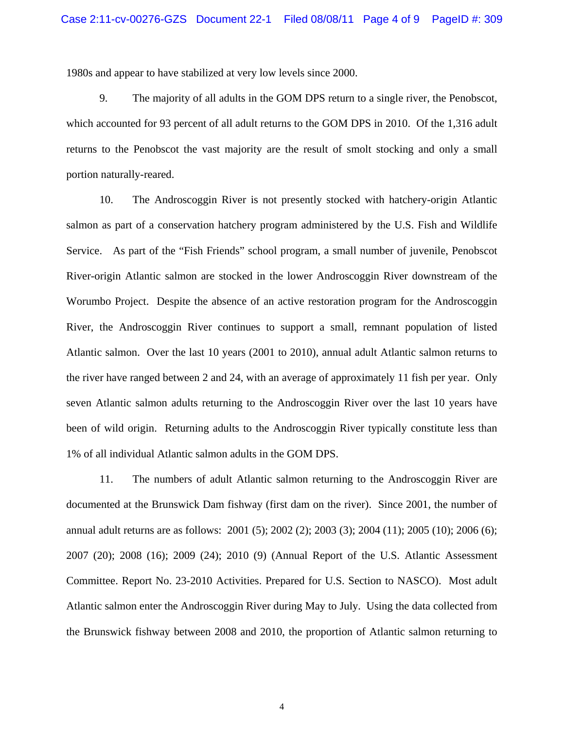1980s and appear to have stabilized at very low levels since 2000.

9. The majority of all adults in the GOM DPS return to a single river, the Penobscot, which accounted for 93 percent of all adult returns to the GOM DPS in 2010. Of the 1,316 adult returns to the Penobscot the vast majority are the result of smolt stocking and only a small portion naturally-reared.

10. The Androscoggin River is not presently stocked with hatchery-origin Atlantic salmon as part of a conservation hatchery program administered by the U.S. Fish and Wildlife Service. As part of the "Fish Friends" school program, a small number of juvenile, Penobscot River-origin Atlantic salmon are stocked in the lower Androscoggin River downstream of the Worumbo Project. Despite the absence of an active restoration program for the Androscoggin River, the Androscoggin River continues to support a small, remnant population of listed Atlantic salmon. Over the last 10 years (2001 to 2010), annual adult Atlantic salmon returns to the river have ranged between 2 and 24, with an average of approximately 11 fish per year. Only seven Atlantic salmon adults returning to the Androscoggin River over the last 10 years have been of wild origin. Returning adults to the Androscoggin River typically constitute less than 1% of all individual Atlantic salmon adults in the GOM DPS.

11. The numbers of adult Atlantic salmon returning to the Androscoggin River are documented at the Brunswick Dam fishway (first dam on the river). Since 2001, the number of annual adult returns are as follows: 2001 (5); 2002 (2); 2003 (3); 2004 (11); 2005 (10); 2006 (6); 2007 (20); 2008 (16); 2009 (24); 2010 (9) (Annual Report of the U.S. Atlantic Assessment Committee. Report No. 23-2010 Activities. Prepared for U.S. Section to NASCO). Most adult Atlantic salmon enter the Androscoggin River during May to July. Using the data collected from the Brunswick fishway between 2008 and 2010, the proportion of Atlantic salmon returning to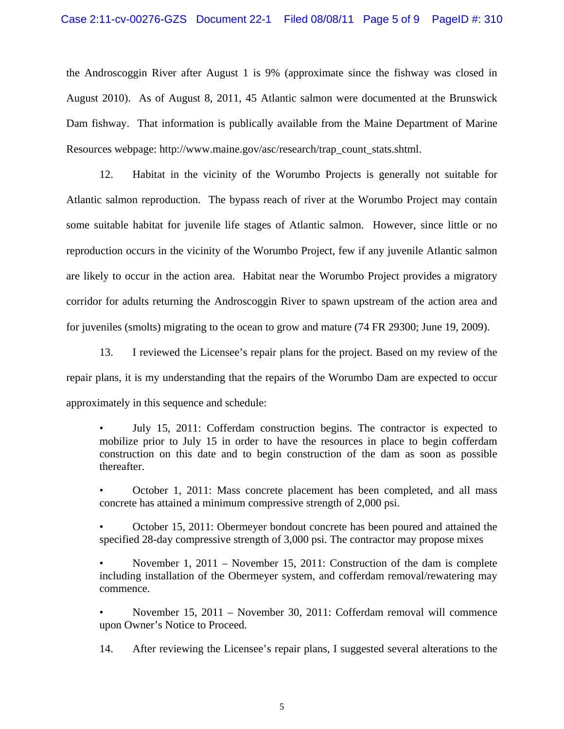the Androscoggin River after August 1 is 9% (approximate since the fishway was closed in August 2010). As of August 8, 2011, 45 Atlantic salmon were documented at the Brunswick Dam fishway. That information is publically available from the Maine Department of Marine Resources webpage: http://www.maine.gov/asc/research/trap\_count\_stats.shtml.

12. Habitat in the vicinity of the Worumbo Projects is generally not suitable for Atlantic salmon reproduction. The bypass reach of river at the Worumbo Project may contain some suitable habitat for juvenile life stages of Atlantic salmon. However, since little or no reproduction occurs in the vicinity of the Worumbo Project, few if any juvenile Atlantic salmon are likely to occur in the action area. Habitat near the Worumbo Project provides a migratory corridor for adults returning the Androscoggin River to spawn upstream of the action area and for juveniles (smolts) migrating to the ocean to grow and mature (74 FR 29300; June 19, 2009).

13. I reviewed the Licensee's repair plans for the project. Based on my review of the repair plans, it is my understanding that the repairs of the Worumbo Dam are expected to occur approximately in this sequence and schedule:

• July 15, 2011: Cofferdam construction begins. The contractor is expected to mobilize prior to July 15 in order to have the resources in place to begin cofferdam construction on this date and to begin construction of the dam as soon as possible thereafter.

• October 1, 2011: Mass concrete placement has been completed, and all mass concrete has attained a minimum compressive strength of 2,000 psi.

• October 15, 2011: Obermeyer bondout concrete has been poured and attained the specified 28-day compressive strength of 3,000 psi. The contractor may propose mixes

• November 1, 2011 – November 15, 2011: Construction of the dam is complete including installation of the Obermeyer system, and cofferdam removal/rewatering may commence.

• November 15, 2011 – November 30, 2011: Cofferdam removal will commence upon Owner's Notice to Proceed.

14. After reviewing the Licensee's repair plans, I suggested several alterations to the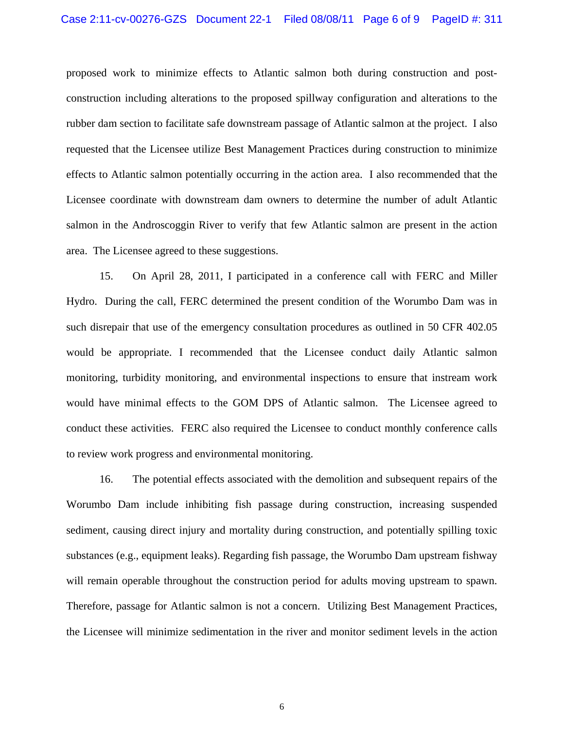proposed work to minimize effects to Atlantic salmon both during construction and postconstruction including alterations to the proposed spillway configuration and alterations to the rubber dam section to facilitate safe downstream passage of Atlantic salmon at the project. I also requested that the Licensee utilize Best Management Practices during construction to minimize effects to Atlantic salmon potentially occurring in the action area. I also recommended that the Licensee coordinate with downstream dam owners to determine the number of adult Atlantic salmon in the Androscoggin River to verify that few Atlantic salmon are present in the action area. The Licensee agreed to these suggestions.

15. On April 28, 2011, I participated in a conference call with FERC and Miller Hydro. During the call, FERC determined the present condition of the Worumbo Dam was in such disrepair that use of the emergency consultation procedures as outlined in 50 CFR 402.05 would be appropriate. I recommended that the Licensee conduct daily Atlantic salmon monitoring, turbidity monitoring, and environmental inspections to ensure that instream work would have minimal effects to the GOM DPS of Atlantic salmon. The Licensee agreed to conduct these activities. FERC also required the Licensee to conduct monthly conference calls to review work progress and environmental monitoring.

16. The potential effects associated with the demolition and subsequent repairs of the Worumbo Dam include inhibiting fish passage during construction, increasing suspended sediment, causing direct injury and mortality during construction, and potentially spilling toxic substances (e.g., equipment leaks). Regarding fish passage, the Worumbo Dam upstream fishway will remain operable throughout the construction period for adults moving upstream to spawn. Therefore, passage for Atlantic salmon is not a concern. Utilizing Best Management Practices, the Licensee will minimize sedimentation in the river and monitor sediment levels in the action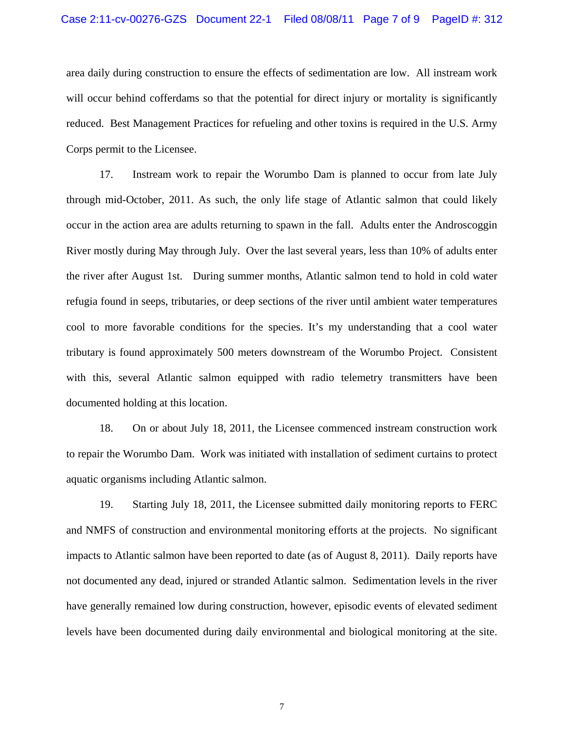area daily during construction to ensure the effects of sedimentation are low. All instream work will occur behind cofferdams so that the potential for direct injury or mortality is significantly reduced. Best Management Practices for refueling and other toxins is required in the U.S. Army Corps permit to the Licensee.

17. Instream work to repair the Worumbo Dam is planned to occur from late July through mid-October, 2011. As such, the only life stage of Atlantic salmon that could likely occur in the action area are adults returning to spawn in the fall. Adults enter the Androscoggin River mostly during May through July. Over the last several years, less than 10% of adults enter the river after August 1st. During summer months, Atlantic salmon tend to hold in cold water refugia found in seeps, tributaries, or deep sections of the river until ambient water temperatures cool to more favorable conditions for the species. It's my understanding that a cool water tributary is found approximately 500 meters downstream of the Worumbo Project. Consistent with this, several Atlantic salmon equipped with radio telemetry transmitters have been documented holding at this location.

18. On or about July 18, 2011, the Licensee commenced instream construction work to repair the Worumbo Dam. Work was initiated with installation of sediment curtains to protect aquatic organisms including Atlantic salmon.

19. Starting July 18, 2011, the Licensee submitted daily monitoring reports to FERC and NMFS of construction and environmental monitoring efforts at the projects. No significant impacts to Atlantic salmon have been reported to date (as of August 8, 2011). Daily reports have not documented any dead, injured or stranded Atlantic salmon. Sedimentation levels in the river have generally remained low during construction, however, episodic events of elevated sediment levels have been documented during daily environmental and biological monitoring at the site.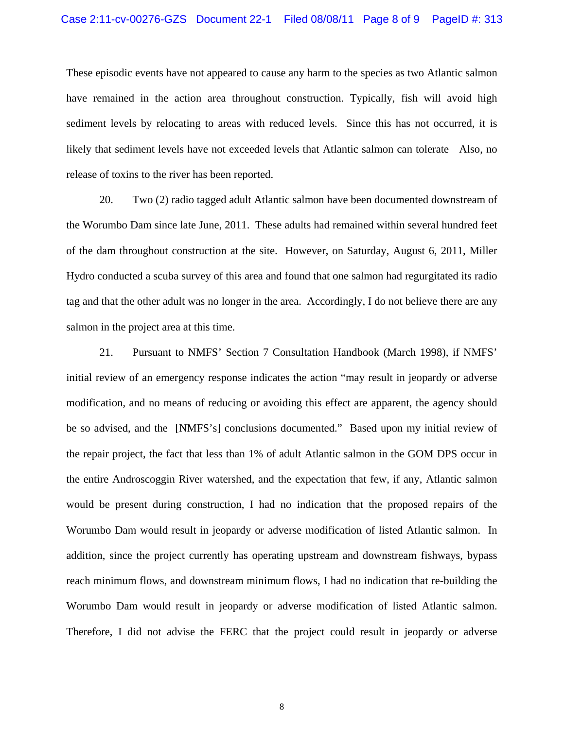These episodic events have not appeared to cause any harm to the species as two Atlantic salmon have remained in the action area throughout construction. Typically, fish will avoid high sediment levels by relocating to areas with reduced levels. Since this has not occurred, it is likely that sediment levels have not exceeded levels that Atlantic salmon can tolerate Also, no release of toxins to the river has been reported.

20. Two (2) radio tagged adult Atlantic salmon have been documented downstream of the Worumbo Dam since late June, 2011. These adults had remained within several hundred feet of the dam throughout construction at the site. However, on Saturday, August 6, 2011, Miller Hydro conducted a scuba survey of this area and found that one salmon had regurgitated its radio tag and that the other adult was no longer in the area. Accordingly, I do not believe there are any salmon in the project area at this time.

21. Pursuant to NMFS' Section 7 Consultation Handbook (March 1998), if NMFS' initial review of an emergency response indicates the action "may result in jeopardy or adverse modification, and no means of reducing or avoiding this effect are apparent, the agency should be so advised, and the [NMFS's] conclusions documented." Based upon my initial review of the repair project, the fact that less than 1% of adult Atlantic salmon in the GOM DPS occur in the entire Androscoggin River watershed, and the expectation that few, if any, Atlantic salmon would be present during construction, I had no indication that the proposed repairs of the Worumbo Dam would result in jeopardy or adverse modification of listed Atlantic salmon. In addition, since the project currently has operating upstream and downstream fishways, bypass reach minimum flows, and downstream minimum flows, I had no indication that re-building the Worumbo Dam would result in jeopardy or adverse modification of listed Atlantic salmon. Therefore, I did not advise the FERC that the project could result in jeopardy or adverse